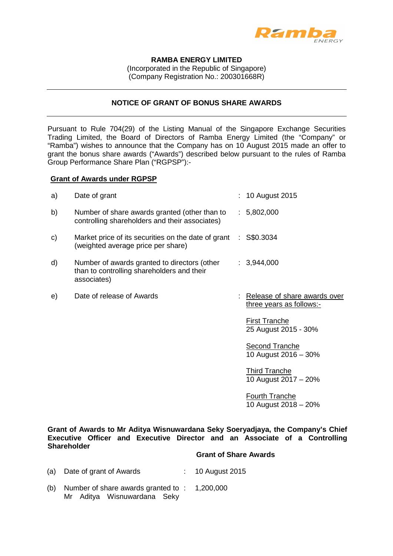

# **RAMBA ENERGY LIMITED**

(Incorporated in the Republic of Singapore) (Company Registration No.: 200301668R)

### **NOTICE OF GRANT OF BONUS SHARE AWARDS**

Pursuant to Rule 704(29) of the Listing Manual of the Singapore Exchange Securities Trading Limited, the Board of Directors of Ramba Energy Limited (the "Company" or "Ramba") wishes to announce that the Company has on 10 August 2015 made an offer to grant the bonus share awards ("Awards") described below pursuant to the rules of Ramba Group Performance Share Plan ("RGPSP"):-

### **Grant of Awards under RGPSP**

| a) | Date of grant                                                                                             |    | 10 August 2015                                           |
|----|-----------------------------------------------------------------------------------------------------------|----|----------------------------------------------------------|
| b) | Number of share awards granted (other than to<br>controlling shareholders and their associates)           |    | : 5,802,000                                              |
| C) | Market price of its securities on the date of grant<br>(weighted average price per share)                 | ÷. | S\$0.3034                                                |
| d) | Number of awards granted to directors (other<br>than to controlling shareholders and their<br>associates) |    | : 3,944,000                                              |
| e) | Date of release of Awards                                                                                 |    | Release of share awards over<br>three years as follows:- |
|    |                                                                                                           |    | <b>First Tranche</b><br>25 August 2015 - 30%             |
|    |                                                                                                           |    | Second Tranche<br>10 August 2016 - 30%                   |
|    |                                                                                                           |    | Third Tranche                                            |

10 August 2017 – 20%

Fourth Tranche 10 August 2018 – 20%

**Grant of Awards to Mr Aditya Wisnuwardana Seky Soeryadjaya, the Company's Chief Executive Officer and Executive Director and an Associate of a Controlling Shareholder** 

#### **Grant of Share Awards**

- (a) Date of grant of Awards : 10 August 2015
- (b) Number of share awards granted to : 1,200,000Mr Aditya Wisnuwardana Seky